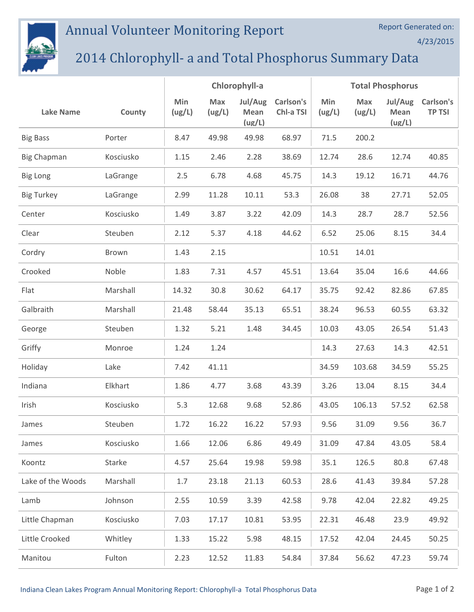## Annual Volunteer Monitoring Report



## 2014 Chlorophyll- a and Total Phosphorus Summary Data

|                    |           | Chlorophyll-a |               |                           |                        | <b>Total Phosphorus</b> |               |                           |                            |
|--------------------|-----------|---------------|---------------|---------------------------|------------------------|-------------------------|---------------|---------------------------|----------------------------|
| <b>Lake Name</b>   | County    | Min<br>(ug/L) | Max<br>(ug/L) | Jul/Aug<br>Mean<br>(ug/L) | Carlson's<br>Chl-a TSI | Min<br>(ug/L)           | Max<br>(ug/L) | Jul/Aug<br>Mean<br>(ug/L) | Carlson's<br><b>TP TSI</b> |
| <b>Big Bass</b>    | Porter    | 8.47          | 49.98         | 49.98                     | 68.97                  | 71.5                    | 200.2         |                           |                            |
| <b>Big Chapman</b> | Kosciusko | 1.15          | 2.46          | 2.28                      | 38.69                  | 12.74                   | 28.6          | 12.74                     | 40.85                      |
| <b>Big Long</b>    | LaGrange  | 2.5           | 6.78          | 4.68                      | 45.75                  | 14.3                    | 19.12         | 16.71                     | 44.76                      |
| <b>Big Turkey</b>  | LaGrange  | 2.99          | 11.28         | 10.11                     | 53.3                   | 26.08                   | 38            | 27.71                     | 52.05                      |
| Center             | Kosciusko | 1.49          | 3.87          | 3.22                      | 42.09                  | 14.3                    | 28.7          | 28.7                      | 52.56                      |
| Clear              | Steuben   | 2.12          | 5.37          | 4.18                      | 44.62                  | 6.52                    | 25.06         | 8.15                      | 34.4                       |
| Cordry             | Brown     | 1.43          | 2.15          |                           |                        | 10.51                   | 14.01         |                           |                            |
| Crooked            | Noble     | 1.83          | 7.31          | 4.57                      | 45.51                  | 13.64                   | 35.04         | 16.6                      | 44.66                      |
| Flat               | Marshall  | 14.32         | 30.8          | 30.62                     | 64.17                  | 35.75                   | 92.42         | 82.86                     | 67.85                      |
| Galbraith          | Marshall  | 21.48         | 58.44         | 35.13                     | 65.51                  | 38.24                   | 96.53         | 60.55                     | 63.32                      |
| George             | Steuben   | 1.32          | 5.21          | 1.48                      | 34.45                  | 10.03                   | 43.05         | 26.54                     | 51.43                      |
| Griffy             | Monroe    | 1.24          | 1.24          |                           |                        | 14.3                    | 27.63         | 14.3                      | 42.51                      |
| Holiday            | Lake      | 7.42          | 41.11         |                           |                        | 34.59                   | 103.68        | 34.59                     | 55.25                      |
| Indiana            | Elkhart   | 1.86          | 4.77          | 3.68                      | 43.39                  | 3.26                    | 13.04         | 8.15                      | 34.4                       |
| Irish              | Kosciusko | 5.3           | 12.68         | 9.68                      | 52.86                  | 43.05                   | 106.13        | 57.52                     | 62.58                      |
| James              | Steuben   | 1.72          | 16.22         | 16.22                     | 57.93                  | 9.56                    | 31.09         | 9.56                      | 36.7                       |
| James              | Kosciusko | 1.66          | 12.06         | 6.86                      | 49.49                  | 31.09                   | 47.84         | 43.05                     | 58.4                       |
| Koontz             | Starke    | 4.57          | 25.64         | 19.98                     | 59.98                  | 35.1                    | 126.5         | 80.8                      | 67.48                      |
| Lake of the Woods  | Marshall  | 1.7           | 23.18         | 21.13                     | 60.53                  | 28.6                    | 41.43         | 39.84                     | 57.28                      |
| Lamb               | Johnson   | 2.55          | 10.59         | 3.39                      | 42.58                  | 9.78                    | 42.04         | 22.82                     | 49.25                      |
| Little Chapman     | Kosciusko | 7.03          | 17.17         | 10.81                     | 53.95                  | 22.31                   | 46.48         | 23.9                      | 49.92                      |
| Little Crooked     | Whitley   | 1.33          | 15.22         | 5.98                      | 48.15                  | 17.52                   | 42.04         | 24.45                     | 50.25                      |
| Manitou            | Fulton    | 2.23          | 12.52         | 11.83                     | 54.84                  | 37.84                   | 56.62         | 47.23                     | 59.74                      |

4/23/2015

Report Generated on: